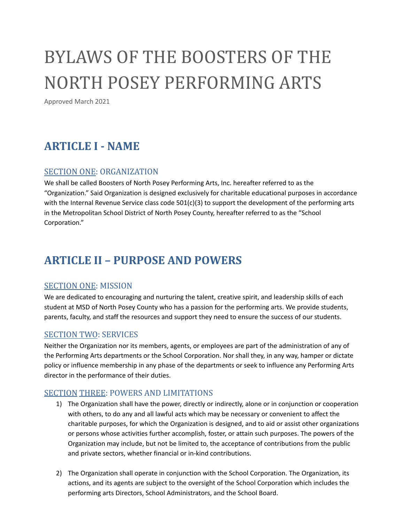# BYLAWS OF THE BOOSTERS OF THE NORTH POSEY PERFORMING ARTS

Approved March 2021

# **ARTICLE I - NAME**

#### SECTION ONE: ORGANIZATION

We shall be called Boosters of North Posey Performing Arts, Inc. hereafter referred to as the "Organization." Said Organization is designed exclusively for charitable educational purposes in accordance with the Internal Revenue Service class code  $501(c)(3)$  to support the development of the performing arts in the Metropolitan School District of North Posey County, hereafter referred to as the "School Corporation."

# **ARTICLE II – PURPOSE AND POWERS**

#### SECTION ONE: MISSION

We are dedicated to encouraging and nurturing the talent, creative spirit, and leadership skills of each student at MSD of North Posey County who has a passion for the performing arts. We provide students, parents, faculty, and staff the resources and support they need to ensure the success of our students.

#### SECTION TWO: SERVICES

Neither the Organization nor its members, agents, or employees are part of the administration of any of the Performing Arts departments or the School Corporation. Nor shall they, in any way, hamper or dictate policy or influence membership in any phase of the departments or seek to influence any Performing Arts director in the performance of their duties.

#### SECTION THREE: POWERS AND LIMITATIONS

- 1) The Organization shall have the power, directly or indirectly, alone or in conjunction or cooperation with others, to do any and all lawful acts which may be necessary or convenient to affect the charitable purposes, for which the Organization is designed, and to aid or assist other organizations or persons whose activities further accomplish, foster, or attain such purposes. The powers of the Organization may include, but not be limited to, the acceptance of contributions from the public and private sectors, whether financial or in-kind contributions.
- 2) The Organization shall operate in conjunction with the School Corporation. The Organization, its actions, and its agents are subject to the oversight of the School Corporation which includes the performing arts Directors, School Administrators, and the School Board.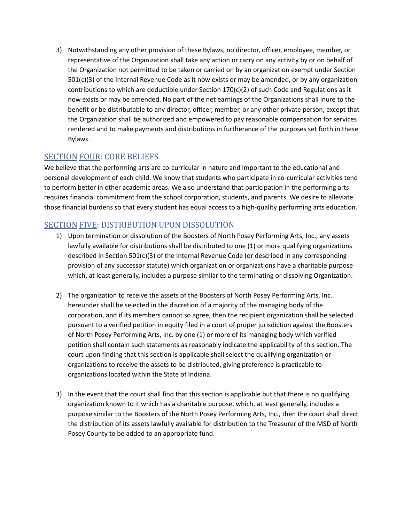3) Notwithstanding any other provision of these Bylaws, no director, officer, employee, member, or representative of the Organization shall take any action or carry on any activity by or on behalf of the Organization not permitted to be taken or carried on by an organization exempt under Section 501(c)(3) of the Internal Revenue Code as it now exists or may be amended, or by any organization contributions to which are deductible under Section  $170(c)(2)$  of such Code and Regulations as it now exists or may be amended. No part of the net earnings of the Organizations shall inure to the benefit or be distributable to any director, officer, member, or any other private person, except that the Organization shall be authorized and empowered to pay reasonable compensation for services rendered and to make payments and distributions in furtherance of the purposes set forth in these Bylaws.

# SECTION FOUR: CORE BELIEFS

We believe that the performing arts are co-curricular in nature and important to the educational and personal development of each child. We know that students who participate in co-curricular activities tend to perform better in other academic areas. We also understand that participation in the performing arts requires financial commitment from the school corporation, students, and parents. We desire to alleviate those financial burdens so that every student has equal access to a high-quality performing arts education.

# SECTION FIVE: DISTRIBUTION UPON DISSOLUTION

- 1) Upon termination or dissolution of the Boosters of North Posey Performing Arts, Inc., any assets lawfully available for distributions shall be distributed to one (1) or more qualifying organizations described in Section 501(c)(3) of the Internal Revenue Code (or described in any corresponding provision of any successor statute) which organization or organizations have a charitable purpose which, at least generally, includes a purpose similar to the terminating or dissolving Organization.
- 2) The organization to receive the assets of the Boosters of North Posey Performing Arts, Inc. hereunder shall be selected in the discretion of a majority of the managing body of the corporation, and if its members cannot so agree, then the recipient organization shall be selected pursuant to a verified petition in equity filed in a court of proper jurisdiction against the Boosters of North Posey Performing Arts, Inc. by one (1) or more of its managing body which verified petition shall contain such statements as reasonably indicate the applicability of this section. The court upon finding that this section is applicable shall select the qualifying organization or organizations to receive the assets to be distributed, giving preference is practicable to organizations located within the State of Indiana.
- 3) In the event that the court shall find that this section is applicable but that there is no qualifying organization known to it which has a charitable purpose, which, at least generally, includes a purpose similar to the Boosters of the North Posey Performing Arts, Inc., then the court shall direct the distribution of its assets lawfully available for distribution to the Treasurer of the MSD of North Posey County to be added to an appropriate fund.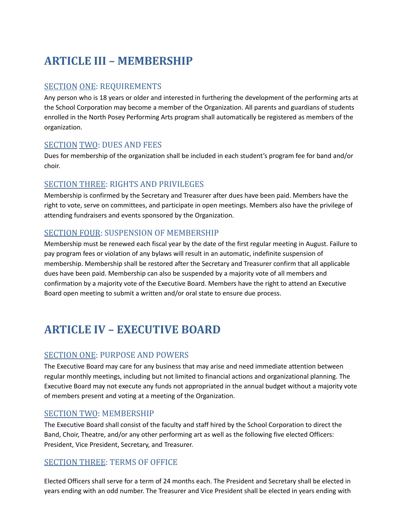# **ARTICLE III – MEMBERSHIP**

#### SECTION ONE: REQUIREMENTS

Any person who is 18 years or older and interested in furthering the development of the performing arts at the School Corporation may become a member of the Organization. All parents and guardians of students enrolled in the North Posey Performing Arts program shall automatically be registered as members of the organization.

#### SECTION TWO: DUES AND FEES

Dues for membership of the organization shall be included in each student's program fee for band and/or choir.

#### SECTION THREE: RIGHTS AND PRIVILEGES

Membership is confirmed by the Secretary and Treasurer after dues have been paid. Members have the right to vote, serve on committees, and participate in open meetings. Members also have the privilege of attending fundraisers and events sponsored by the Organization.

#### SECTION FOUR: SUSPENSION OF MEMBERSHIP

Membership must be renewed each fiscal year by the date of the first regular meeting in August. Failure to pay program fees or violation of any bylaws will result in an automatic, indefinite suspension of membership. Membership shall be restored after the Secretary and Treasurer confirm that all applicable dues have been paid. Membership can also be suspended by a majority vote of all members and confirmation by a majority vote of the Executive Board. Members have the right to attend an Executive Board open meeting to submit a written and/or oral state to ensure due process.

# **ARTICLE IV – EXECUTIVE BOARD**

#### SECTION ONE: PURPOSE AND POWERS

The Executive Board may care for any business that may arise and need immediate attention between regular monthly meetings, including but not limited to financial actions and organizational planning. The Executive Board may not execute any funds not appropriated in the annual budget without a majority vote of members present and voting at a meeting of the Organization.

#### SECTION TWO: MEMBERSHIP

The Executive Board shall consist of the faculty and staff hired by the School Corporation to direct the Band, Choir, Theatre, and/or any other performing art as well as the following five elected Officers: President, Vice President, Secretary, and Treasurer.

#### SECTION THREE: TERMS OF OFFICE

Elected Officers shall serve for a term of 24 months each. The President and Secretary shall be elected in years ending with an odd number. The Treasurer and Vice President shall be elected in years ending with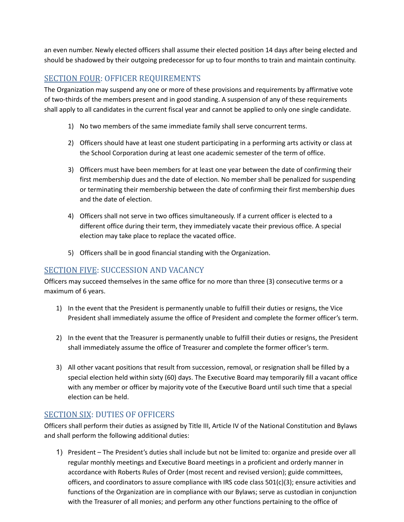an even number. Newly elected officers shall assume their elected position 14 days after being elected and should be shadowed by their outgoing predecessor for up to four months to train and maintain continuity.

### SECTION FOUR: OFFICER REQUIREMENTS

The Organization may suspend any one or more of these provisions and requirements by affirmative vote of two-thirds of the members present and in good standing. A suspension of any of these requirements shall apply to all candidates in the current fiscal year and cannot be applied to only one single candidate.

- 1) No two members of the same immediate family shall serve concurrent terms.
- 2) Officers should have at least one student participating in a performing arts activity or class at the School Corporation during at least one academic semester of the term of office.
- 3) Officers must have been members for at least one year between the date of confirming their first membership dues and the date of election. No member shall be penalized for suspending or terminating their membership between the date of confirming their first membership dues and the date of election.
- 4) Officers shall not serve in two offices simultaneously. If a current officer is elected to a different office during their term, they immediately vacate their previous office. A special election may take place to replace the vacated office.
- 5) Officers shall be in good financial standing with the Organization.

#### SECTION FIVE: SUCCESSION AND VACANCY

Officers may succeed themselves in the same office for no more than three (3) consecutive terms or a maximum of 6 years.

- 1) In the event that the President is permanently unable to fulfill their duties or resigns, the Vice President shall immediately assume the office of President and complete the former officer's term.
- 2) In the event that the Treasurer is permanently unable to fulfill their duties or resigns, the President shall immediately assume the office of Treasurer and complete the former officer's term.
- 3) All other vacant positions that result from succession, removal, or resignation shall be filled by a special election held within sixty (60) days. The Executive Board may temporarily fill a vacant office with any member or officer by majority vote of the Executive Board until such time that a special election can be held.

#### SECTION SIX: DUTIES OF OFFICERS

Officers shall perform their duties as assigned by Title III, Article IV of the National Constitution and Bylaws and shall perform the following additional duties:

1) President – The President's duties shall include but not be limited to: organize and preside over all regular monthly meetings and Executive Board meetings in a proficient and orderly manner in accordance with Roberts Rules of Order (most recent and revised version); guide committees, officers, and coordinators to assure compliance with IRS code class  $501(c)(3)$ ; ensure activities and functions of the Organization are in compliance with our Bylaws; serve as custodian in conjunction with the Treasurer of all monies; and perform any other functions pertaining to the office of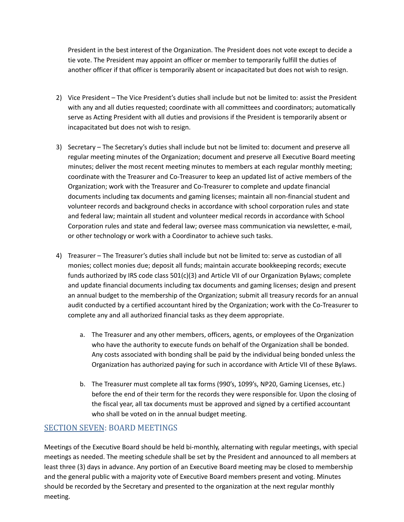President in the best interest of the Organization. The President does not vote except to decide a tie vote. The President may appoint an officer or member to temporarily fulfill the duties of another officer if that officer is temporarily absent or incapacitated but does not wish to resign.

- 2) Vice President The Vice President's duties shall include but not be limited to: assist the President with any and all duties requested; coordinate with all committees and coordinators; automatically serve as Acting President with all duties and provisions if the President is temporarily absent or incapacitated but does not wish to resign.
- 3) Secretary The Secretary's duties shall include but not be limited to: document and preserve all regular meeting minutes of the Organization; document and preserve all Executive Board meeting minutes; deliver the most recent meeting minutes to members at each regular monthly meeting; coordinate with the Treasurer and Co-Treasurer to keep an updated list of active members of the Organization; work with the Treasurer and Co-Treasurer to complete and update financial documents including tax documents and gaming licenses; maintain all non-financial student and volunteer records and background checks in accordance with school corporation rules and state and federal law; maintain all student and volunteer medical records in accordance with School Corporation rules and state and federal law; oversee mass communication via newsletter, e-mail, or other technology or work with a Coordinator to achieve such tasks.
- 4) Treasurer The Treasurer's duties shall include but not be limited to: serve as custodian of all monies; collect monies due; deposit all funds; maintain accurate bookkeeping records; execute funds authorized by IRS code class 501(c)(3) and Article VII of our Organization Bylaws; complete and update financial documents including tax documents and gaming licenses; design and present an annual budget to the membership of the Organization; submit all treasury records for an annual audit conducted by a certified accountant hired by the Organization; work with the Co-Treasurer to complete any and all authorized financial tasks as they deem appropriate.
	- a. The Treasurer and any other members, officers, agents, or employees of the Organization who have the authority to execute funds on behalf of the Organization shall be bonded. Any costs associated with bonding shall be paid by the individual being bonded unless the Organization has authorized paying for such in accordance with Article VII of these Bylaws.
	- b. The Treasurer must complete all tax forms (990's, 1099's, NP20, Gaming Licenses, etc.) before the end of their term for the records they were responsible for. Upon the closing of the fiscal year, all tax documents must be approved and signed by a certified accountant who shall be voted on in the annual budget meeting.

#### SECTION SEVEN: BOARD MEETINGS

Meetings of the Executive Board should be held bi-monthly, alternating with regular meetings, with special meetings as needed. The meeting schedule shall be set by the President and announced to all members at least three (3) days in advance. Any portion of an Executive Board meeting may be closed to membership and the general public with a majority vote of Executive Board members present and voting. Minutes should be recorded by the Secretary and presented to the organization at the next regular monthly meeting.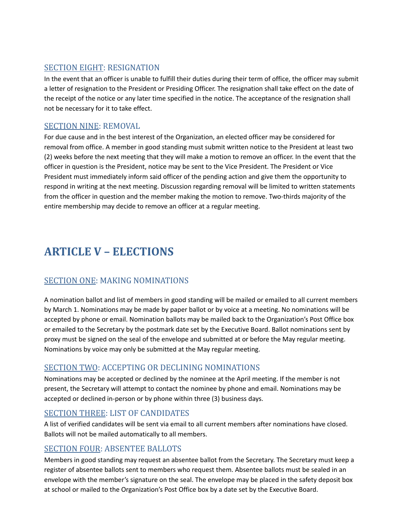#### SECTION EIGHT: RESIGNATION

In the event that an officer is unable to fulfill their duties during their term of office, the officer may submit a letter of resignation to the President or Presiding Officer. The resignation shall take effect on the date of the receipt of the notice or any later time specified in the notice. The acceptance of the resignation shall not be necessary for it to take effect.

#### SECTION NINE: REMOVAL

For due cause and in the best interest of the Organization, an elected officer may be considered for removal from office. A member in good standing must submit written notice to the President at least two (2) weeks before the next meeting that they will make a motion to remove an officer. In the event that the officer in question is the President, notice may be sent to the Vice President. The President or Vice President must immediately inform said officer of the pending action and give them the opportunity to respond in writing at the next meeting. Discussion regarding removal will be limited to written statements from the officer in question and the member making the motion to remove. Two-thirds majority of the entire membership may decide to remove an officer at a regular meeting.

# **ARTICLE V – ELECTIONS**

# SECTION ONE: MAKING NOMINATIONS

A nomination ballot and list of members in good standing will be mailed or emailed to all current members by March 1. Nominations may be made by paper ballot or by voice at a meeting. No nominations will be accepted by phone or email. Nomination ballots may be mailed back to the Organization's Post Office box or emailed to the Secretary by the postmark date set by the Executive Board. Ballot nominations sent by proxy must be signed on the seal of the envelope and submitted at or before the May regular meeting. Nominations by voice may only be submitted at the May regular meeting.

#### SECTION TWO: ACCEPTING OR DECLINING NOMINATIONS

Nominations may be accepted or declined by the nominee at the April meeting. If the member is not present, the Secretary will attempt to contact the nominee by phone and email. Nominations may be accepted or declined in-person or by phone within three (3) business days.

#### SECTION THREE: LIST OF CANDIDATES

A list of verified candidates will be sent via email to all current members after nominations have closed. Ballots will not be mailed automatically to all members.

#### SECTION FOUR: ABSENTEE BALLOTS

Members in good standing may request an absentee ballot from the Secretary. The Secretary must keep a register of absentee ballots sent to members who request them. Absentee ballots must be sealed in an envelope with the member's signature on the seal. The envelope may be placed in the safety deposit box at school or mailed to the Organization's Post Office box by a date set by the Executive Board.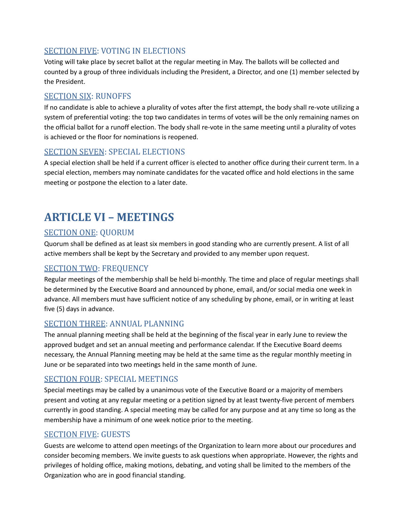### SECTION FIVE: VOTING IN ELECTIONS

Voting will take place by secret ballot at the regular meeting in May. The ballots will be collected and counted by a group of three individuals including the President, a Director, and one (1) member selected by the President.

#### SECTION SIX: RUNOFFS

If no candidate is able to achieve a plurality of votes after the first attempt, the body shall re-vote utilizing a system of preferential voting: the top two candidates in terms of votes will be the only remaining names on the official ballot for a runoff election. The body shall re-vote in the same meeting until a plurality of votes is achieved or the floor for nominations is reopened.

#### SECTION SEVEN: SPECIAL ELECTIONS

A special election shall be held if a current officer is elected to another office during their current term. In a special election, members may nominate candidates for the vacated office and hold elections in the same meeting or postpone the election to a later date.

# **ARTICLE VI – MEETINGS**

# SECTION ONE: QUORUM

Quorum shall be defined as at least six members in good standing who are currently present. A list of all active members shall be kept by the Secretary and provided to any member upon request.

#### SECTION TWO: FREQUENCY

Regular meetings of the membership shall be held bi-monthly. The time and place of regular meetings shall be determined by the Executive Board and announced by phone, email, and/or social media one week in advance. All members must have sufficient notice of any scheduling by phone, email, or in writing at least five (5) days in advance.

#### SECTION THREE: ANNUAL PLANNING

The annual planning meeting shall be held at the beginning of the fiscal year in early June to review the approved budget and set an annual meeting and performance calendar. If the Executive Board deems necessary, the Annual Planning meeting may be held at the same time as the regular monthly meeting in June or be separated into two meetings held in the same month of June.

#### SECTION FOUR: SPECIAL MEETINGS

Special meetings may be called by a unanimous vote of the Executive Board or a majority of members present and voting at any regular meeting or a petition signed by at least twenty-five percent of members currently in good standing. A special meeting may be called for any purpose and at any time so long as the membership have a minimum of one week notice prior to the meeting.

#### SECTION FIVE: GUESTS

Guests are welcome to attend open meetings of the Organization to learn more about our procedures and consider becoming members. We invite guests to ask questions when appropriate. However, the rights and privileges of holding office, making motions, debating, and voting shall be limited to the members of the Organization who are in good financial standing.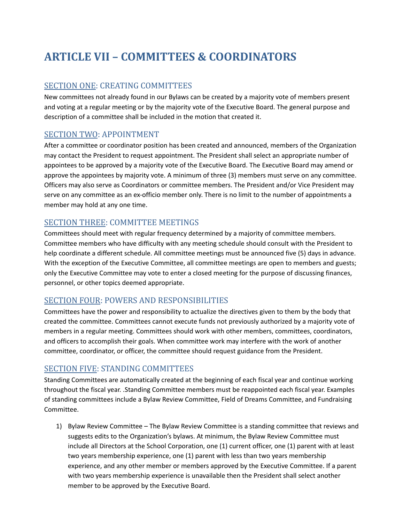# **ARTICLE VII – COMMITTEES & COORDINATORS**

#### SECTION ONE: CREATING COMMITTEES

New committees not already found in our Bylaws can be created by a majority vote of members present and voting at a regular meeting or by the majority vote of the Executive Board. The general purpose and description of a committee shall be included in the motion that created it.

#### SECTION TWO: APPOINTMENT

After a committee or coordinator position has been created and announced, members of the Organization may contact the President to request appointment. The President shall select an appropriate number of appointees to be approved by a majority vote of the Executive Board. The Executive Board may amend or approve the appointees by majority vote. A minimum of three (3) members must serve on any committee. Officers may also serve as Coordinators or committee members. The President and/or Vice President may serve on any committee as an ex-officio member only. There is no limit to the number of appointments a member may hold at any one time.

#### SECTION THREE: COMMITTEE MEETINGS

Committees should meet with regular frequency determined by a majority of committee members. Committee members who have difficulty with any meeting schedule should consult with the President to help coordinate a different schedule. All committee meetings must be announced five (5) days in advance. With the exception of the Executive Committee, all committee meetings are open to members and guests; only the Executive Committee may vote to enter a closed meeting for the purpose of discussing finances, personnel, or other topics deemed appropriate.

#### SECTION FOUR: POWERS AND RESPONSIBILITIES

Committees have the power and responsibility to actualize the directives given to them by the body that created the committee. Committees cannot execute funds not previously authorized by a majority vote of members in a regular meeting. Committees should work with other members, committees, coordinators, and officers to accomplish their goals. When committee work may interfere with the work of another committee, coordinator, or officer, the committee should request guidance from the President.

#### SECTION FIVE: STANDING COMMITTEES

Standing Committees are automatically created at the beginning of each fiscal year and continue working throughout the fiscal year. .Standing Committee members must be reappointed each fiscal year. Examples of standing committees include a Bylaw Review Committee, Field of Dreams Committee, and Fundraising Committee.

1) Bylaw Review Committee – The Bylaw Review Committee is a standing committee that reviews and suggests edits to the Organization's bylaws. At minimum, the Bylaw Review Committee must include all Directors at the School Corporation, one (1) current officer, one (1) parent with at least two years membership experience, one (1) parent with less than two years membership experience, and any other member or members approved by the Executive Committee. If a parent with two years membership experience is unavailable then the President shall select another member to be approved by the Executive Board.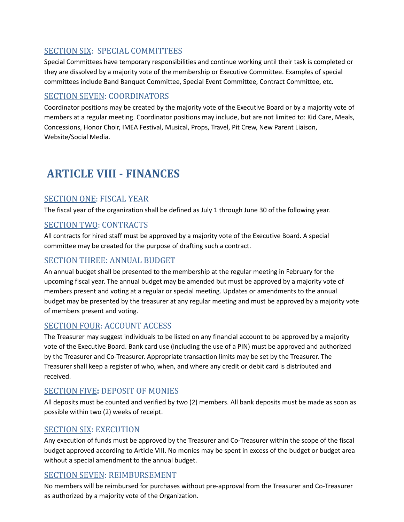# SECTION SIX: SPECIAL COMMITTEES

Special Committees have temporary responsibilities and continue working until their task is completed or they are dissolved by a majority vote of the membership or Executive Committee. Examples of special committees include Band Banquet Committee, Special Event Committee, Contract Committee, etc.

### SECTION SEVEN: COORDINATORS

Coordinator positions may be created by the majority vote of the Executive Board or by a majority vote of members at a regular meeting. Coordinator positions may include, but are not limited to: Kid Care, Meals, Concessions, Honor Choir, IMEA Festival, Musical, Props, Travel, Pit Crew, New Parent Liaison, Website/Social Media.

# **ARTICLE VIII - FINANCES**

#### SECTION ONE: FISCAL YEAR

The fiscal year of the organization shall be defined as July 1 through June 30 of the following year.

#### SECTION TWO: CONTRACTS

All contracts for hired staff must be approved by a majority vote of the Executive Board. A special committee may be created for the purpose of drafting such a contract.

#### SECTION THREE: ANNUAL BUDGET

An annual budget shall be presented to the membership at the regular meeting in February for the upcoming fiscal year. The annual budget may be amended but must be approved by a majority vote of members present and voting at a regular or special meeting. Updates or amendments to the annual budget may be presented by the treasurer at any regular meeting and must be approved by a majority vote of members present and voting.

#### SECTION FOUR: ACCOUNT ACCESS

The Treasurer may suggest individuals to be listed on any financial account to be approved by a majority vote of the Executive Board. Bank card use (including the use of a PIN) must be approved and authorized by the Treasurer and Co-Treasurer. Appropriate transaction limits may be set by the Treasurer. The Treasurer shall keep a register of who, when, and where any credit or debit card is distributed and received.

#### SECTION FIVE**:** DEPOSIT OF MONIES

All deposits must be counted and verified by two (2) members. All bank deposits must be made as soon as possible within two (2) weeks of receipt.

#### SECTION SIX: EXECUTION

Any execution of funds must be approved by the Treasurer and Co-Treasurer within the scope of the fiscal budget approved according to Article VIII. No monies may be spent in excess of the budget or budget area without a special amendment to the annual budget.

#### SECTION SEVEN: REIMBURSEMENT

No members will be reimbursed for purchases without pre-approval from the Treasurer and Co-Treasurer as authorized by a majority vote of the Organization.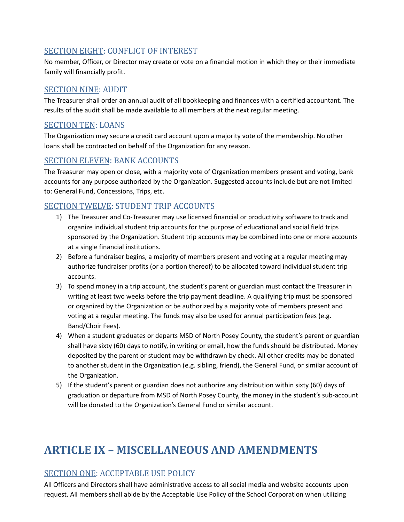### SECTION EIGHT: CONFLICT OF INTEREST

No member, Officer, or Director may create or vote on a financial motion in which they or their immediate family will financially profit.

### SECTION NINE: AUDIT

The Treasurer shall order an annual audit of all bookkeeping and finances with a certified accountant. The results of the audit shall be made available to all members at the next regular meeting.

### SECTION TEN: LOANS

The Organization may secure a credit card account upon a majority vote of the membership. No other loans shall be contracted on behalf of the Organization for any reason.

#### SECTION ELEVEN: BANK ACCOUNTS

The Treasurer may open or close, with a majority vote of Organization members present and voting, bank accounts for any purpose authorized by the Organization. Suggested accounts include but are not limited to: General Fund, Concessions, Trips, etc.

# SECTION TWELVE: STUDENT TRIP ACCOUNTS

- 1) The Treasurer and Co-Treasurer may use licensed financial or productivity software to track and organize individual student trip accounts for the purpose of educational and social field trips sponsored by the Organization. Student trip accounts may be combined into one or more accounts at a single financial institutions.
- 2) Before a fundraiser begins, a majority of members present and voting at a regular meeting may authorize fundraiser profits (or a portion thereof) to be allocated toward individual student trip accounts.
- 3) To spend money in a trip account, the student's parent or guardian must contact the Treasurer in writing at least two weeks before the trip payment deadline. A qualifying trip must be sponsored or organized by the Organization or be authorized by a majority vote of members present and voting at a regular meeting. The funds may also be used for annual participation fees (e.g. Band/Choir Fees).
- 4) When a student graduates or departs MSD of North Posey County, the student's parent or guardian shall have sixty (60) days to notify, in writing or email, how the funds should be distributed. Money deposited by the parent or student may be withdrawn by check. All other credits may be donated to another student in the Organization (e.g. sibling, friend), the General Fund, or similar account of the Organization.
- 5) If the student's parent or guardian does not authorize any distribution within sixty (60) days of graduation or departure from MSD of North Posey County, the money in the student's sub-account will be donated to the Organization's General Fund or similar account.

# **ARTICLE IX – MISCELLANEOUS AND AMENDMENTS**

# SECTION ONE: ACCEPTABLE USE POLICY

All Officers and Directors shall have administrative access to all social media and website accounts upon request. All members shall abide by the Acceptable Use Policy of the School Corporation when utilizing